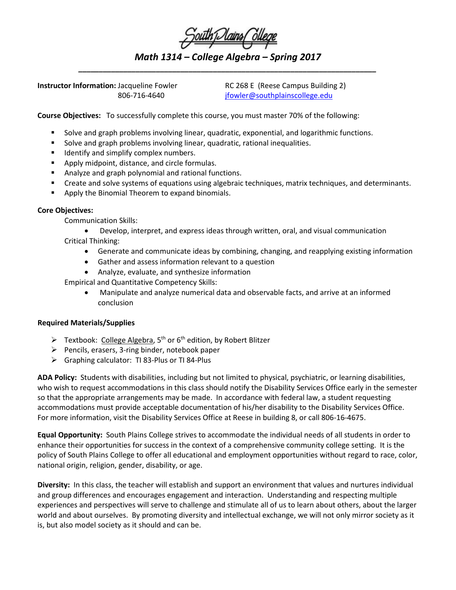| South Dlains College |  |  |  |
|----------------------|--|--|--|
|                      |  |  |  |
|                      |  |  |  |

*Math 1314 – College Algebra – Spring 2017 \_\_\_\_\_\_\_\_\_\_\_\_\_\_\_\_\_\_\_\_\_\_\_\_\_\_\_\_\_\_\_\_\_\_\_\_\_\_\_\_\_\_\_\_\_\_\_\_\_\_\_\_\_\_\_\_\_\_\_\_\_\_\_\_\_\_\_\_\_\_\_\_\_*

**Instructor Information:** Jacqueline Fowler RC 268 E (Reese Campus Building 2)

806-716-4640 [jfowler@southplainscollege.edu](mailto:jfowler@southplainscollege.edu)

**Course Objectives:** To successfully complete this course, you must master 70% of the following:

- Solve and graph problems involving linear, quadratic, exponential, and logarithmic functions.
- Solve and graph problems involving linear, quadratic, rational inequalities.
- **If all identify and simplify complex numbers.**
- Apply midpoint, distance, and circle formulas.
- Analyze and graph polynomial and rational functions.
- Create and solve systems of equations using algebraic techniques, matrix techniques, and determinants.
- **Apply the Binomial Theorem to expand binomials.**

## **Core Objectives:**

Communication Skills:

• Develop, interpret, and express ideas through written, oral, and visual communication Critical Thinking:

- Generate and communicate ideas by combining, changing, and reapplying existing information
- Gather and assess information relevant to a question
- Analyze, evaluate, and synthesize information

Empirical and Quantitative Competency Skills:

• Manipulate and analyze numerical data and observable facts, and arrive at an informed conclusion

## **Required Materials/Supplies**

- $\triangleright$  Textbook: College Algebra, 5<sup>th</sup> or 6<sup>th</sup> edition, by Robert Blitzer
- $\triangleright$  Pencils, erasers, 3-ring binder, notebook paper
- Graphing calculator: TI 83-Plus or TI 84-Plus

**ADA Policy:** Students with disabilities, including but not limited to physical, psychiatric, or learning disabilities, who wish to request accommodations in this class should notify the Disability Services Office early in the semester so that the appropriate arrangements may be made. In accordance with federal law, a student requesting accommodations must provide acceptable documentation of his/her disability to the Disability Services Office. For more information, visit the Disability Services Office at Reese in building 8, or call 806-16-4675.

**Equal Opportunity:** South Plains College strives to accommodate the individual needs of all students in order to enhance their opportunities for success in the context of a comprehensive community college setting. It is the policy of South Plains College to offer all educational and employment opportunities without regard to race, color, national origin, religion, gender, disability, or age.

**Diversity:** In this class, the teacher will establish and support an environment that values and nurtures individual and group differences and encourages engagement and interaction. Understanding and respecting multiple experiences and perspectives will serve to challenge and stimulate all of us to learn about others, about the larger world and about ourselves. By promoting diversity and intellectual exchange, we will not only mirror society as it is, but also model society as it should and can be.